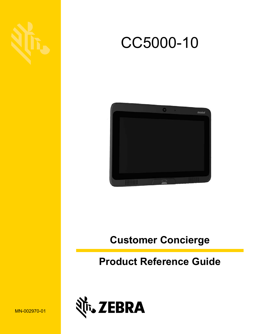





## **Customer Concierge**

## **Product Reference Guide**



MN-002970-01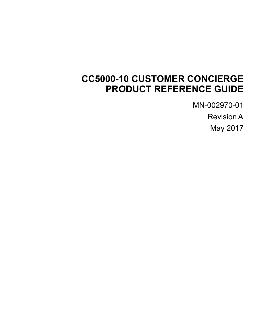## **CC5000-10 CUSTOMER CONCIERGE PRODUCT REFERENCE GUIDE**

MN-002970-01

Revision A

May 2017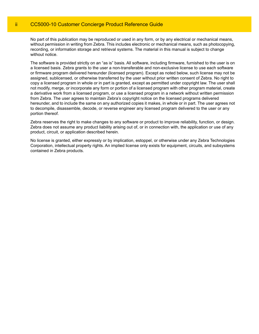No part of this publication may be reproduced or used in any form, or by any electrical or mechanical means, without permission in writing from Zebra. This includes electronic or mechanical means, such as photocopying, recording, or information storage and retrieval systems. The material in this manual is subject to change without notice.

The software is provided strictly on an "as is" basis. All software, including firmware, furnished to the user is on a licensed basis. Zebra grants to the user a non-transferable and non-exclusive license to use each software or firmware program delivered hereunder (licensed program). Except as noted below, such license may not be assigned, sublicensed, or otherwise transferred by the user without prior written consent of Zebra. No right to copy a licensed program in whole or in part is granted, except as permitted under copyright law. The user shall not modify, merge, or incorporate any form or portion of a licensed program with other program material, create a derivative work from a licensed program, or use a licensed program in a network without written permission from Zebra. The user agrees to maintain Zebra's copyright notice on the licensed programs delivered hereunder, and to include the same on any authorized copies it makes, in whole or in part. The user agrees not to decompile, disassemble, decode, or reverse engineer any licensed program delivered to the user or any portion thereof.

Zebra reserves the right to make changes to any software or product to improve reliability, function, or design. Zebra does not assume any product liability arising out of, or in connection with, the application or use of any product, circuit, or application described herein.

No license is granted, either expressly or by implication, estoppel, or otherwise under any Zebra Technologies Corporation, intellectual property rights. An implied license only exists for equipment, circuits, and subsystems contained in Zebra products.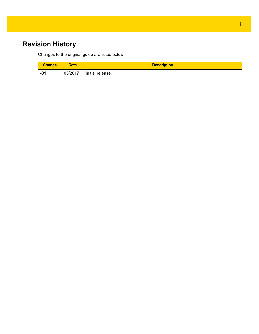## <span id="page-4-0"></span>**Revision History**

Changes to the original guide are listed below:

| <b>Change</b> | <b>Date</b> | <b>Description</b> |
|---------------|-------------|--------------------|
| - U .         | 05/2017     | Initial release.   |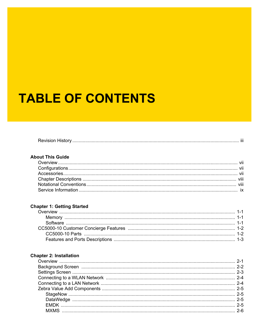# **TABLE OF CONTENTS**

| $\overline{\phantom{a}}$<br>RAVIS |
|-----------------------------------|
|-----------------------------------|

#### **About This Guide**

#### **Chapter 1: Getting Started**

#### **Chapter 2: Installation**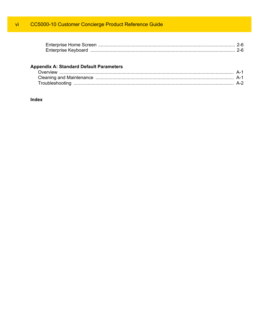| <b>Enterprise Keyboard</b> |  |  |
|----------------------------|--|--|

#### **Appendix A: Standard Default Parameters**

| Overview |  |
|----------|--|
|          |  |
|          |  |

#### Index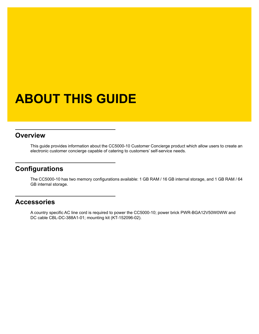# <span id="page-8-0"></span>**ABOUT THIS GUIDE**

#### <span id="page-8-1"></span>**[Overview](#page-8-1)**

This guide provides information about the CC5000-10 Customer Concierge product which allow users to create an electronic customer concierge capable of catering to customers' self-service needs.

## <span id="page-8-2"></span>**Configurations**

The CC5000-10 has two memory configurations available: 1 GB RAM / 16 GB internal storage, and 1 GB RAM / 64 GB internal storage.

#### <span id="page-8-3"></span>**Accessories**

A country specific AC line cord is required to power the CC5000-10; power brick PWR-BGA12V50W0WW and DC cable CBL-DC-388A1-01; mounting kit (KT-152096-02).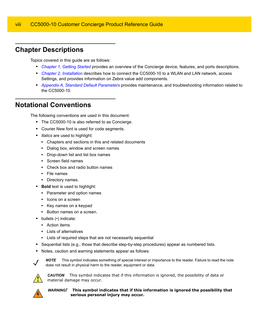### <span id="page-9-0"></span>**Chapter Descriptions**

Topics covered in this guide are as follows:

- **•** *[Chapter 1, Getting Started](#page-12-4)* provides an overview of the Concierge device, features, and ports descriptions.
- **•** *[Chapter 2, Installation](#page-16-2)* describes how to connect the CC5000-10 to a WLAN and LAN network, access Settings, and provides information on Zebra value add components.
- <span id="page-9-4"></span>**•** *[Appendix A, Standard Default Parameters](#page-22-3)* provides maintenance, and troubleshooting information related to the CC5000-10.

### <span id="page-9-1"></span>**Notational Conventions**

The following conventions are used in this document:

- **•** The CC5000-10 is also referred to as Concierge.
- <span id="page-9-6"></span><span id="page-9-5"></span>**•** Courier New font is used for code segments.
- **•** *Italics* are used to highlight:
	- **•** Chapters and sections in this and related documents
	- **•** Dialog box, window and screen names
	- **•** Drop-down list and list box names
	- **•** Screen field names
	- **•** Check box and radio button names
	- **•** File names
	- **•** Directory names.
- <span id="page-9-2"></span>**• Bold** text is used to highlight:
	- **•** Parameter and option names
	- **•** Icons on a screen
	- **•** Key names on a keypad
	- **•** Button names on a screen.
- <span id="page-9-3"></span>**•** bullets (•) indicate:
	- **•** Action items
	- **•** Lists of alternatives
	- **•** Lists of required steps that are not necessarily sequential
- **•** Sequential lists (e.g., those that describe step-by-step procedures) appear as numbered lists.
- **•** Notes, caution and warning statements appear as follows:



*NOTE* This symbol indicates something of special interest or importance to the reader. Failure to read the note does not result in physical harm to the reader, equipment or data.



*CAUTION* This symbol indicates that if this information is ignored, the possibility of data or material damage may occur.



*WARNING!* **This symbol indicates that if this information is ignored the possibility that serious personal injury may occur.**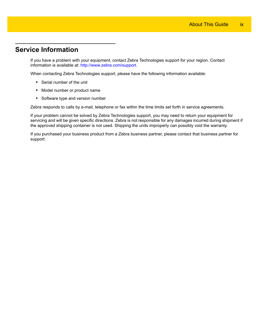### <span id="page-10-0"></span>**Service Information**

<span id="page-10-1"></span>If you have a problem with your equipment, contact Zebra Technologies support for your region. Contact information is available at: http://www.zebra.com/support.

When contacting Zebra Technologies support, please have the following information available:

- **•** Serial number of the unit
- **•** Model number or product name
- **•** Software type and version number

Zebra responds to calls by e-mail, telephone or fax within the time limits set forth in service agreements.

If your problem cannot be solved by Zebra Technologies support, you may need to return your equipment for servicing and will be given specific directions. Zebra is not responsible for any damages incurred during shipment if the approved shipping container is not used. Shipping the units improperly can possibly void the warranty.

If you purchased your business product from a Zebra business partner, please contact that business partner for support.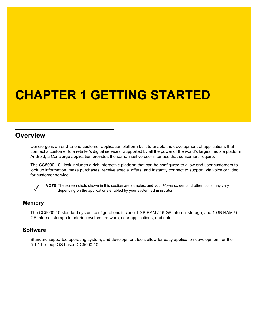# <span id="page-12-4"></span><span id="page-12-0"></span>**CHAPTER 1 GETTING STARTED**

#### <span id="page-12-1"></span>**Overview**

Concierge is an end-to-end customer application platform built to enable the development of applications that connect a customer to a retailer's digital services. Supported by all the power of the world's largest mobile platform, Android, a Concierge application provides the same intuitive user interface that consumers require.

The CC5000-10 kiosk includes a rich interactive platform that can be configured to allow end user customers to look up information, make purchases, receive special offers, and instantly connect to support, via voice or video, for customer service.



<span id="page-12-7"></span>*NOTE* The screen shots shown in this section are samples, and your *Home* screen and other icons may vary depending on the applications enabled by your system administrator.

#### <span id="page-12-2"></span>**Memory**

<span id="page-12-6"></span><span id="page-12-5"></span>The CC5000-10 standard system configurations include 1 GB RAM / 16 GB internal storage, and 1 GB RAM / 64 GB internal storage for storing system firmware, user applications, and data.

#### <span id="page-12-3"></span>**Software**

Standard supported operating system, and development tools allow for easy application development for the 5.1.1 Lollipop OS based CC5000-10.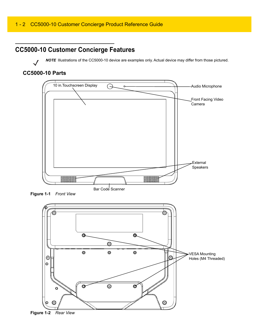## <span id="page-13-0"></span>**CC5000-10 Customer Concierge Features**

*NOTE* Illustrations of the CC5000-10 device are examples only. Actual device may differ from those pictured.

#### <span id="page-13-1"></span>**CC5000-10 Parts**



**Figure 1-1** *Front View*

<span id="page-13-2"></span>

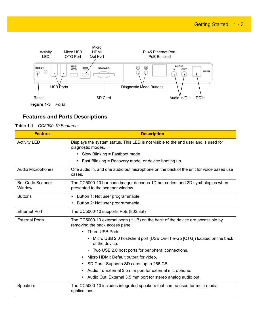

#### <span id="page-14-0"></span>**Features and Ports Descriptions**

#### **Table 1-1** *CC5000-10 Features*

<span id="page-14-8"></span><span id="page-14-7"></span><span id="page-14-6"></span><span id="page-14-5"></span><span id="page-14-4"></span><span id="page-14-3"></span><span id="page-14-2"></span><span id="page-14-1"></span>

| <b>Feature</b>             | <b>Description</b>                                                                                                |
|----------------------------|-------------------------------------------------------------------------------------------------------------------|
| <b>Activity LED</b>        | Displays the system status. This LED is not visible to the end user and is used for<br>diagnostic modes.          |
|                            | • Slow Blinking = Fastboot mode                                                                                   |
|                            | Fast Blinking = Recovery mode, or device booting up.                                                              |
| <b>Audio Microphones</b>   | One audio in, and one audio out microphone on the back of the unit for voice based use<br>cases.                  |
| Bar Code Scanner<br>Window | The CC5000-10 bar code imager decodes 1D bar codes, and 2D symbologies when<br>presented to the scanner window.   |
| <b>Buttons</b>             | Button 1: Not user programmable.<br>٠                                                                             |
|                            | Button 2: Not user programmable.                                                                                  |
| <b>Ethernet Port</b>       | The CC5000-10 supports PoE (802.3at)                                                                              |
| <b>External Ports</b>      | The CC5000-10 external ports (HUB) on the back of the device are accessible by<br>removing the back access panel. |
|                            | Three USB Ports.                                                                                                  |
|                            | Micro USB 2.0 host/client port (USB On-The-Go [OTG]) located on the back<br>of the device.                        |
|                            | • Two USB 2.0 host ports for peripheral connections.                                                              |
|                            | Micro HDMI: Default output for video.<br>٠                                                                        |
|                            | SD Card: Supports SD cards up to 256 GB.<br>$\bullet$                                                             |
|                            | Audio In: External 3.5 mm port for external microphone.<br>$\bullet$                                              |
|                            | • Audio Out: External 3.5 mm port for stereo analog audio out.                                                    |
| Speakers                   | The CC5000-10 includes integrated speakers that can be used for multi-media<br>applications.                      |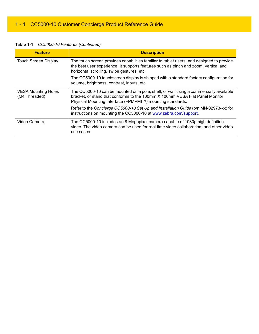<span id="page-15-2"></span><span id="page-15-1"></span><span id="page-15-0"></span>

| <b>Feature</b>                              | <b>Description</b>                                                                                                                                                                                                                 |
|---------------------------------------------|------------------------------------------------------------------------------------------------------------------------------------------------------------------------------------------------------------------------------------|
| <b>Touch Screen Display</b>                 | The touch screen provides capabilities familiar to tablet users, and designed to provide<br>the best user experience. It supports features such as pinch and zoom, vertical and<br>horizontal scrolling, swipe gestures, etc.      |
|                                             | The CC5000-10 touchscreen display is shipped with a standard factory configuration for<br>volume, brightness, contrast, inputs, etc.                                                                                               |
| <b>VESA Mounting Holes</b><br>(M4 Threaded) | The CC5000-10 can be mounted on a pole, shelf, or wall using a commercially available<br>bracket, or stand that conforms to the 100mm X 100mm VESA Flat Panel Monitor<br>Physical Mounting Interface (FPMPMI™) mounting standards. |
|                                             | Refer to the Concierge CC5000-10 Set Up and Installation Guide (p/n MN-02973-xx) for<br>instructions on mounting the CC5000-10 at www.zebra.com/support.                                                                           |
| Video Camera                                | The CC5000-10 includes an 8 Megapixel camera capable of 1080p high definition<br>video. The video camera can be used for real time video collaboration, and other video<br>use cases.                                              |

**Table 1-1** *CC5000-10 Features (Continued)*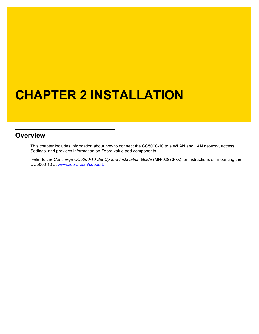# <span id="page-16-2"></span><span id="page-16-0"></span>**CHAPTER 2 INSTALLATION**

#### <span id="page-16-1"></span>**Overview**

This chapter includes information about how to connect the CC5000-10 to a WLAN and LAN network, access Settings, and provides information on Zebra value add components.

Refer to the *Concierge CC5000-10 Set Up and Installation Guide* (MN-02973-xx) for instructions on mounting the CC5000-10 at <www.zebra.com/support.>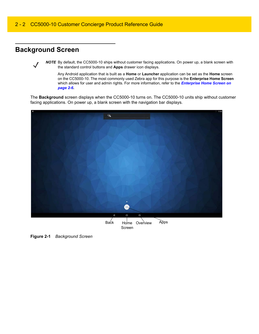## <span id="page-17-0"></span>**Background Screen**

*NOTE* By default, the CC5000-10 ships without customer facing applications. On power up, a blank screen with the standard control buttons and **Apps** drawer icon displays.

Any Android application that is built as a **Home** or **Launcher** application can be set as the **Home** screen on the CC5000-10. The most commonly used Zebra app for this purpose is the **Enterprise Home Screen** which allows for user and admin rights. For more information, refer to the *[Enterprise Home Screen on](#page-21-1)  [page 2-6](#page-21-1)***.**

The **Background** screen displays when the CC5000-10 turns on. The CC5000-10 units ship without customer facing applications. On power up, a blank screen with the navigation bar displays.

<span id="page-17-1"></span>

**Figure 2-1** *Background Screen*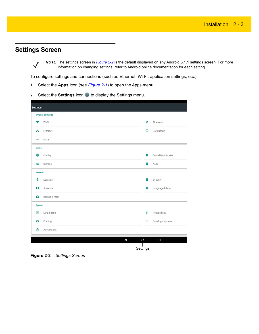## <span id="page-18-0"></span>**Settings Screen**

*NOTE* The settings screen in *[Figure 2-2](#page-18-1)* is the default displayed on any Android 5.1.1 settings screen. For more information on changing settings, refer to Android online documentation for each setting.

To configure settings and connections (such as Ethernet, Wi-Fi, application settings, etc.):

- **1.** Select the **Apps** icon (see *[Figure 2-1](#page-17-1)*) to open the Apps menu.
- **2.** Select the **Settings** icon  $\bullet$  to display the Settings menu.

|               | Wireless & networks |         |                      |
|---------------|---------------------|---------|----------------------|
|               | Wi-Fi               | *       | Bluetooth            |
| A             | Ethernet            | $\circ$ | Data usage           |
|               | More                |         |                      |
| <b>Device</b> |                     |         |                      |
| Đ             | Display             | ۸       | Sound & notification |
| ⊨             | Storage             | 족       | Apps                 |
| Personal      |                     |         |                      |
| ۰             | Location            | θ       | Security             |
| Ξ             | Accounts            | ⊕       | Language & input     |
| $\bullet$     | Backup & reset      |         |                      |
| System        |                     |         |                      |
| $\circ$       | Date & time         | Ť       | Accessibility        |
| ē             | Printing            | $\{\}$  | Developer options    |
| $\odot$       | About tablet        |         |                      |

<span id="page-18-1"></span>**Figure 2-2** *Settings Screen*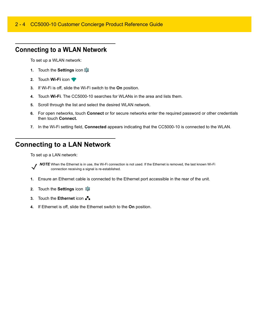#### 2 - 4 CC5000-10 Customer Concierge Product Reference Guide

### <span id="page-19-0"></span>**Connecting to a WLAN Network**

To set up a WLAN network:

- **1.** Touch the **Settings** icon
- **2.** Touch **Wi-Fi** icon
- **3.** If Wi-Fi is off, slide the Wi-Fi switch to the **On** position.
- **4.** Touch **Wi-Fi**. The CC5000-10 searches for WLANs in the area and lists them.
- **5.** Scroll through the list and select the desired WLAN network.
- **6.** For open networks, touch **Connect** or for secure networks enter the required password or other credentials then touch **Connect.**
- **7.** In the Wi-Fi setting field, **Connected** appears indicating that the CC5000-10 is connected to the WLAN.

## <span id="page-19-1"></span>**Connecting to a LAN Network**

To set up a LAN network:



*NOTE* When the Ethernet is in use, the Wi-Fi connection is not used. If the Ethernet is removed, the last known Wi-Fi connection receiving a signal is re-established.

- **1.** Ensure an Ethernet cable is connected to the Ethernet port accessible in the rear of the unit.
- **2.** Touch the **Settings** icon
- **3.** Touch the **Ethernet** icon
- **4.** If Ethernet is off, slide the Ethernet switch to the **On** position.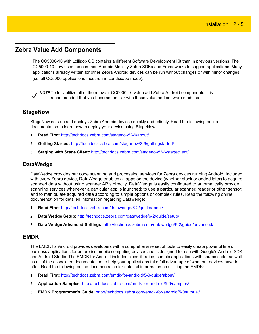#### <span id="page-20-0"></span>**Zebra Value Add Components**

The CC5000-10 with Lollipop OS contains a different Software Development Kit than in previous versions. The CC5000-10 now uses the common Android Mobility Zebra SDKs and Frameworks to support applications. Many applications already written for other Zebra Android devices can be run without changes or with minor changes (i.e. all CC5000 applications must run in Landscape mode).

*NOTE* [To fully utilize all of the relevant CC5000-10 value add Zebra Android components, it is](http://techdocs.zebra.com/enterprise-keyboard/1-3/guide/setup/)  [recommended that you become familiar with these value add software modules.](http://techdocs.zebra.com/enterprise-keyboard/1-3/guide/setup/)

#### <span id="page-20-1"></span>**StageNow**

StageNow sets up and deploys Zebra Android devices quickly and reliably. Read the following online documentation to learn how to deploy your device using StageNow:

- **1. Read First**:<http://techdocs.zebra.com/stagenow/2-6/about/>
- **2. Getting Started:** http://techdocs.zebra.com/stagenow/2-6/gettingstarted/
- **3. Staging with Stage Client**: <http://techdocs.zebra.com/stagenow/2-6/stageclient/>

#### <span id="page-20-2"></span>**DataWedge**

DataWedge [provides bar code scanning and processing services for Zebra devices running Android. In](http://techdocs.zebra.com/ehs/2-5/guide/settings/)[cluded](http://techdocs.zebra.com/mx/choosing-a-version/)  [with every Zebra device, DataWedge enables all apps on the device \(whether stock or added later\) to acquire](http://techdocs.zebra.com/mx/choosing-a-version/)  scanned data without using scanner APIs directly. DataWedge is easily configured to automatically provide scanning services whenever a particular app is launched; to use a particular scanner, reader or other sensor; [and to manipulate acquired data according to simple options or complex rules. R](http://techdocs.zebra.com/mx/choosing-a-version/)ead the following online documentation for detailed information regarding Datawedge:

- **1. Read First**:<http://techdocs.zebra.com/datawedge/6-2/guide/about/>
- **2. Data Wedge Setup**:<http://techdocs.zebra.com/datawedge/6-2/guide/setup/>
- **3. Data Wedge Advanced Settings**: <http://techdocs.zebra.com/datawedge/6-2/guide/advanced/>

#### <span id="page-20-3"></span>**EMDK**

The EMDK for Android provides developers with a comprehensive set of tools to easily create powerful line of business applications for enterprise mobile computing devices and is designed for use with Google's Android SDK and Android Studio. The EMDK for Android includes class libraries, sample applications with source code, as well as all of the associated documentation to help your applications take full advantage of what our devices have to offer. Read the following online documentation for detailed information on utilizing the EMDK:

- **1. Read First**: [h](http://techdocs.zebra.com/emdk-for-android/5-0/guide/about/)ttp://techdocs.zebra.com/emdk-for-android/5-0/guide/about/
- **2. Application Samples**: <http://techdocs.zebra.com/emdk-for-android/5-0/samples/>
- **3. EMDK Programmer's Guide**: http://techdocs.zebra.com/emdk-for-android/5-0/tutorial/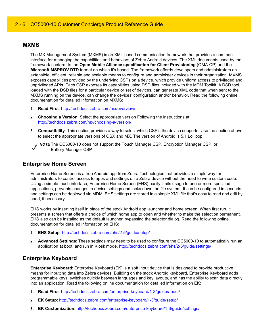#### <span id="page-21-0"></span>**MXMS**

The MX Management System (MXMS) is an XML-based communication framework that provides a common interface for managing the capabilities and behaviors of Zebra Android devices. The XML documents used by the framework conform to the **Open Mobile Alliance specification for Client Provisioning** (OMA-CP) and the **Microsoft MSPROV DTD** format on which it's based. The framework affords developers and administrators an extensible, efficient, reliable and scalable means to configure and administer devices in their organization. MXMS exposes capabilities provided by the underlying CSPs on a device, which provide uniform access to privileged and unprivileged APIs. Each CSP exposes its capabilities using DSD files included with the MDM Toolkit. A DSD tool, loaded with the DSD files for a particular device or set of devices, can generate XML code that when sent to the MXMS running on the device, can change the devices' configuration and/or behavior. Read the following online documentation for detailed information on MXMS:

- **1. Read First**:<http://techdocs.zebra.com/mx/overview/>
- **2. Choosing a Version**: Select the appropriate version Following the instructions at: <http://techdocs.zebra.com/mx/choosing-a-version/>
- **3. Compatibility**: This section provides a way to select which CSP's the device supports. Use the section above to select the appropriate versions of OSX and MX. The version of Android is 5.1 Lollipop.



*NOTE* The CC5000-10 does not support the Touch Manager CSP, Encryption Manager CSP, or Battery Manager CSP

#### <span id="page-21-1"></span>**Enterprise Home Screen**

Enterprise Home Screen is a free Android app from Zebra Technologies that provides a simple way for administrators to control access to apps and settings on a Zebra device without the need to write custom code. Using a simple touch interface, Enterprise Home Screen (EHS) easily limits usage to one or more specified applications, prevents changes to device settings and locks down the file system. It can be configured in seconds, and settings can be deployed via MDM. EHS settings are stored in a simple XML file that's easy to read and edit by hand, if necessary.

EHS works by inserting itself in place of the stock Android app launcher and home screen. When first run, it presents a screen that offers a choice of which home app to open and whether to make the selection permanent. EHS also can be installed as the default launcher, bypassing the selector dialog. Read the following online documentation for detailed information on EHS:

- **1. EHS Setup**: <http://techdocs.zebra.com/ehs/2-5/guide/setup/>
- **2. Advanced Settings**: These settings may need to be used to configure the CC5000-10 to automatically run an application at boot, and run in Kiosk mode. [http://techdocs.zebra.com/ehs/2-5/guide/settings/](http://techdocs.zebra.com/ehs/2-5/guide/settings/ )

#### <span id="page-21-2"></span>**Enterprise Keyboard**

**Enterprise Keyboard**: Enterprise Keyboard (EK) is a soft input device that is designed to provide productive means for inputting data into Zebra devices. Building on the stock Android keyboard, Enterprise Keyboard adds programmable keys, switches quickly between languages and key layouts, and has the ability to scan data directly into an application. Read the following online documentation for detailed information on EK:

- **1. Read First**:<http://techdocs.zebra.com/enterprise-keyboard/1-3/guide/about/>
- **2. EK Setup**: <http://techdocs.zebra.com/enterprise-keyboard/1-3/guide/setup/>
- **3. EK Customization**:<http://techdocs.zebra.com/enterprise-keyboard/1-3/guide/settings/>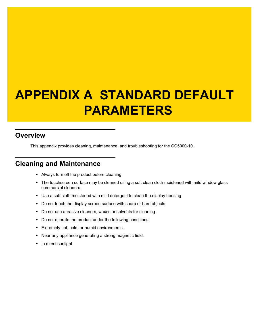# <span id="page-22-3"></span><span id="page-22-0"></span>**APPENDIX A STANDARD DEFAULT PARAMETERS**

#### <span id="page-22-1"></span>**Overview**

This appendix provides cleaning, maintenance, and troubleshooting for the CC5000-10.

## <span id="page-22-2"></span>**Cleaning and Maintenance**

- **•** Always turn off the product before cleaning.
- **•** The touchscreen surface may be cleaned using a soft clean cloth moistened with mild window glass commercial cleaners.
- **•** Use a soft cloth moistened with mild detergent to clean the display housing.
- **•** Do not touch the display screen surface with sharp or hard objects.
- **•** Do not use abrasive cleaners, waxes or solvents for cleaning.
- **•** Do not operate the product under the following conditions:
- **•** Extremely hot, cold, or humid environments.
- **•** Near any appliance generating a strong magnetic field.
- **•** In direct sunlight.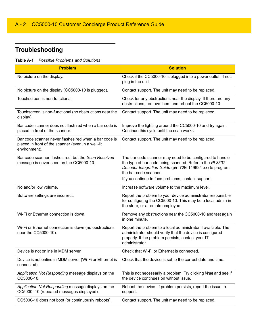## <span id="page-23-0"></span>**Troubleshooting**

**Table A-1** *Possible Problems and Solutions*

<span id="page-23-2"></span><span id="page-23-1"></span>

| <b>Problem</b>                                                                                                               | <b>Solution</b>                                                                                                                                                                                                                                                |
|------------------------------------------------------------------------------------------------------------------------------|----------------------------------------------------------------------------------------------------------------------------------------------------------------------------------------------------------------------------------------------------------------|
| No picture on the display.                                                                                                   | Check if the CC5000-10 is plugged into a power outlet. If not,<br>plug in the unit.                                                                                                                                                                            |
| No picture on the display (CC5000-10 is plugged).                                                                            | Contact support. The unit may need to be replaced.                                                                                                                                                                                                             |
| Touchscreen is non-functional.                                                                                               | Check for any obstructions near the display. If there are any<br>obstructions, remove them and reboot the CC5000-10.                                                                                                                                           |
| Touchscreen is non-functional (no obstructions near the<br>display).                                                         | Contact support. The unit may need to be replaced.                                                                                                                                                                                                             |
| Bar code scanner does not flash red when a bar code is<br>placed in front of the scanner.                                    | Improve the lighting around the CC5000-10 and try again.<br>Continue this cycle until the scan works.                                                                                                                                                          |
| Bar code scanner never flashes red when a bar code is<br>placed in front of the scanner (even in a well-lit<br>environment). | Contact support. The unit may need to be replaced.                                                                                                                                                                                                             |
| Bar code scanner flashes red, but the Scan Received<br>message is never seen on the CC5000-10.                               | The bar code scanner may need to be configured to handle<br>the type of bar code being scanned. Refer to the PL3307<br>Decoder Integration Guide (p/n 72E-149624-xx) to program<br>the bar code scanner.<br>If you continue to face problems, contact support. |
| No and/or low volume.                                                                                                        | Increase software volume to the maximum level.                                                                                                                                                                                                                 |
| Software settings are incorrect.                                                                                             | Report the problem to your device administrator responsible<br>for configuring the CC5000-10. This may be a local admin in<br>the store, or a remote employee.                                                                                                 |
| Wi-Fi or Ethernet connection is down.                                                                                        | Remove any obstructions near the CC5000-10 and test again<br>in one minute.                                                                                                                                                                                    |
| Wi-Fi or Ethernet connection is down (no obstructions<br>near the CC5000-10).                                                | Report the problem to a local administrator if available. The<br>administrator should verify that the device is configured<br>properly. If the problem persists, contact your IT<br>administrator.                                                             |
| Device is not online in MDM server.                                                                                          | Check that Wi-Fi or Ethernet is connected.                                                                                                                                                                                                                     |
| Device is not online in MDM server (Wi-Fi or Ethernet is<br>connected).                                                      | Check that the device is set to the correct date and time.                                                                                                                                                                                                     |
| Application Not Responding message displays on the<br>CC5000-10.                                                             | This is not necessarily a problem. Try clicking Wait and see if<br>the device continues on without issue.                                                                                                                                                      |
| Application Not Responding message displays on the<br>CC5000-10 (repeated messages displayed).                               | Reboot the device. If problem persists, report the issue to<br>support.                                                                                                                                                                                        |
| CC5000-10 does not boot (or continuously reboots).                                                                           | Contact support. The unit may need to be replaced.                                                                                                                                                                                                             |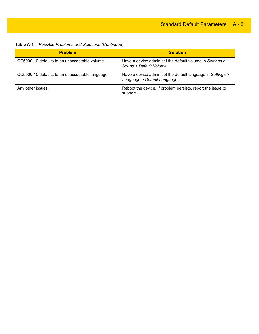| <b>Table A-1</b> Possible Problems and Solutions (Continued) |  |
|--------------------------------------------------------------|--|
|--------------------------------------------------------------|--|

| <b>Problem</b>                                  | <b>Solution</b>                                                                            |
|-------------------------------------------------|--------------------------------------------------------------------------------------------|
| CC5000-10 defaults to an unacceptable volume.   | Have a device admin set the default volume in Settings ><br>Sound > Default Volume.        |
| CC5000-10 defaults to an unacceptable language. | Have a device admin set the default language in Settings ><br>Language > Default Language. |
| Any other issues.                               | Reboot the device. If problem persists, report the issue to<br>support.                    |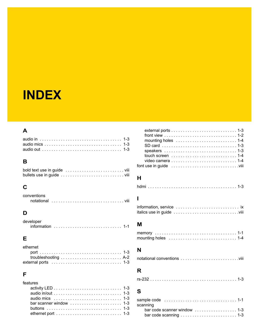## <span id="page-26-0"></span>**INDEX**

### **A**

### **B**

## **C**

| conventions |  |  |  |  |  |  |  |  |  |  |  |  |  |  |
|-------------|--|--|--|--|--|--|--|--|--|--|--|--|--|--|
|             |  |  |  |  |  |  |  |  |  |  |  |  |  |  |

## **D**

| developer |  |  |  |  |  |  |  |  |  |  |  |  |  |  |  |
|-----------|--|--|--|--|--|--|--|--|--|--|--|--|--|--|--|
|           |  |  |  |  |  |  |  |  |  |  |  |  |  |  |  |

### **E**

| ethernet |  |  |  |  |  |  |  |  |  |  |  |  |
|----------|--|--|--|--|--|--|--|--|--|--|--|--|
|          |  |  |  |  |  |  |  |  |  |  |  |  |
|          |  |  |  |  |  |  |  |  |  |  |  |  |
|          |  |  |  |  |  |  |  |  |  |  |  |  |

#### **F**

| audio mics $\ldots \ldots \ldots \ldots \ldots \ldots \ldots \ldots \ldots \ldots$ 1-3 |
|----------------------------------------------------------------------------------------|
| bar scanner window $\ldots \ldots \ldots \ldots \ldots \ldots$ 1-3                     |
|                                                                                        |
| ethernet port $\dots\dots\dots\dots\dots\dots\dots\dots\dots\dots$ 1-3                 |
|                                                                                        |

| front view $\dots \dots \dots \dots \dots \dots \dots \dots \dots \dots \dots 1-2$   |  |  |  |  |  |  |  |  |  |  |  |  |  |
|--------------------------------------------------------------------------------------|--|--|--|--|--|--|--|--|--|--|--|--|--|
|                                                                                      |  |  |  |  |  |  |  |  |  |  |  |  |  |
|                                                                                      |  |  |  |  |  |  |  |  |  |  |  |  |  |
| speakers $\ldots \ldots \ldots \ldots \ldots \ldots \ldots \ldots \ldots \ldots 1-3$ |  |  |  |  |  |  |  |  |  |  |  |  |  |
| touch screen $\ldots \ldots \ldots \ldots \ldots \ldots \ldots \ldots 1-4$           |  |  |  |  |  |  |  |  |  |  |  |  |  |
| video camera $\ldots \ldots \ldots \ldots \ldots \ldots \ldots \ldots \ldots 1-4$    |  |  |  |  |  |  |  |  |  |  |  |  |  |
| font use in guide viii                                                               |  |  |  |  |  |  |  |  |  |  |  |  |  |

#### **H**

|--|--|--|--|--|--|--|--|--|--|--|--|--|--|--|--|--|--|--|--|--|--|--|--|--|--|--|--|--|--|--|--|--|--|--|--|--|--|--|--|--|

#### **I**

```
information, service . . . . . . . . . . . . . . . . . . . . . . . . . . . ix
italics use in guide . . . . . . . . . . . . . . . . . . . . . . . . . . . .viii
```
#### **M**

| mounting holes $\ldots \ldots \ldots \ldots \ldots \ldots \ldots \ldots \ldots 1-4$ |  |  |  |  |  |  |  |  |  |  |  |  |  |  |  |
|-------------------------------------------------------------------------------------|--|--|--|--|--|--|--|--|--|--|--|--|--|--|--|

#### **N**

|--|--|--|

## **R**

| $rs-2321-3$ |
|-------------|
|-------------|

#### **S**

| scanning                                                                  |  |
|---------------------------------------------------------------------------|--|
| bar code scanner window $\ldots \ldots \ldots \ldots \ldots$ . 1-3        |  |
| bar code scanning $\dots \dots \dots \dots \dots \dots \dots \dots \dots$ |  |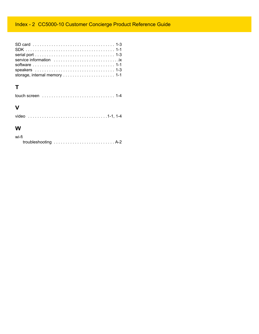## Index - 2 CC5000-10 Customer Concierge Product Reference Guide

| speakers $\ldots \ldots \ldots \ldots \ldots \ldots \ldots \ldots \ldots \ldots \ldots \ldots$ |  |
|------------------------------------------------------------------------------------------------|--|
|                                                                                                |  |

## **T**

|--|--|--|--|--|--|--|--|--|--|--|--|--|--|--|--|--|--|--|--|--|--|--|--|--|--|--|--|

### **V**

#### **W**

| wi-fi |  |  |  |  |  |  |  |  |  |  |  |  |  |
|-------|--|--|--|--|--|--|--|--|--|--|--|--|--|
|       |  |  |  |  |  |  |  |  |  |  |  |  |  |